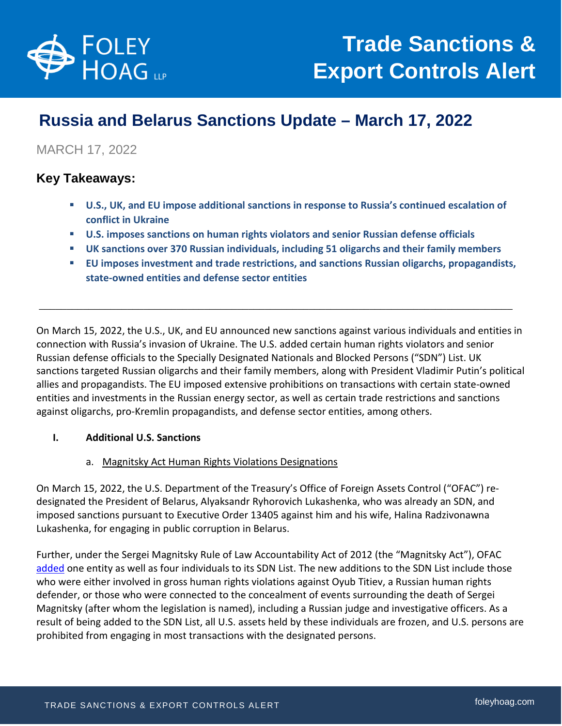

# **Russia and Belarus Sanctions Update – March 17, 2022**

# MARCH 17, 2022

# **Key Takeaways:**

- **U.S., UK, and EU impose additional sanctions in response to Russia's continued escalation of conflict in Ukraine**
- **U.S. imposes sanctions on human rights violators and senior Russian defense officials**

\_\_\_\_\_\_\_\_\_\_\_\_\_\_\_\_\_\_\_\_\_\_\_\_\_\_\_\_\_\_\_\_\_\_\_\_\_\_\_\_\_\_\_\_\_\_\_\_\_\_\_\_\_\_\_\_\_\_\_\_\_\_\_\_\_\_\_\_\_\_\_\_\_\_\_\_\_\_\_\_\_\_\_\_\_\_

- **UK sanctions over 370 Russian individuals, including 51 oligarchs and their family members**
- **EU imposes investment and trade restrictions, and sanctions Russian oligarchs, propagandists, state-owned entities and defense sector entities**

On March 15, 2022, the U.S., UK, and EU announced new sanctions against various individuals and entities in connection with Russia's invasion of Ukraine. The U.S. added certain human rights violators and senior Russian defense officials to the Specially Designated Nationals and Blocked Persons ("SDN") List. UK sanctions targeted Russian oligarchs and their family members, along with President Vladimir Putin's political allies and propagandists. The EU imposed extensive prohibitions on transactions with certain state-owned entities and investments in the Russian energy sector, as well as certain trade restrictions and sanctions against oligarchs, pro-Kremlin propagandists, and defense sector entities, among others.

## **I. Additional U.S. Sanctions**

# a. Magnitsky Act Human Rights Violations Designations

On March 15, 2022, the U.S. Department of the Treasury's Office of Foreign Assets Control ("OFAC") redesignated the President of Belarus, Alyaksandr Ryhorovich Lukashenka, who was already an SDN, and imposed sanctions pursuant to Executive Order 13405 against him and his wife, Halina Radzivonawna Lukashenka, for engaging in public corruption in Belarus.

Further, under the Sergei Magnitsky Rule of Law Accountability Act of 2012 (the "Magnitsky Act"), OFAC [added](https://home.treasury.gov/news/press-releases/jy0654) one entity as well as four individuals to its SDN List. The new additions to the SDN List include those who were either involved in gross human rights violations against Oyub Titiev, a Russian human rights defender, or those who were connected to the concealment of events surrounding the death of Sergei Magnitsky (after whom the legislation is named), including a Russian judge and investigative officers. As a result of being added to the SDN List, all U.S. assets held by these individuals are frozen, and U.S. persons are prohibited from engaging in most transactions with the designated persons.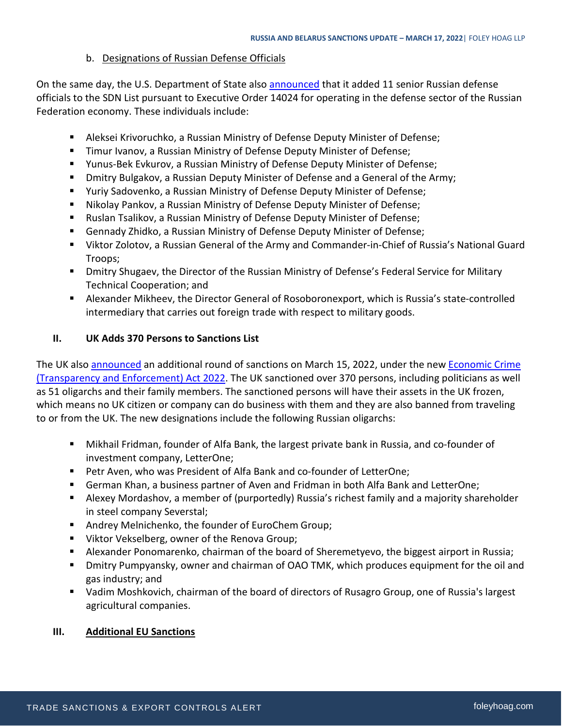#### b. Designations of Russian Defense Officials

On the same day, the U.S. Department of State also [announced](https://www.state.gov/u-s-announces-sanctions-on-key-members-of-russias-defense-enterprise/) that it added 11 senior Russian defense officials to the SDN List pursuant to Executive Order 14024 for operating in the defense sector of the Russian Federation economy. These individuals include:

- Aleksei Krivoruchko, a Russian Ministry of Defense Deputy Minister of Defense;
- **Timur Ivanov, a Russian Ministry of Defense Deputy Minister of Defense;**
- Yunus-Bek Evkurov, a Russian Ministry of Defense Deputy Minister of Defense;
- **De Dmitry Bulgakov, a Russian Deputy Minister of Defense and a General of the Army;**
- Yuriy Sadovenko, a Russian Ministry of Defense Deputy Minister of Defense;
- Nikolay Pankov, a Russian Ministry of Defense Deputy Minister of Defense;
- Ruslan Tsalikov, a Russian Ministry of Defense Deputy Minister of Defense;
- Gennady Zhidko, a Russian Ministry of Defense Deputy Minister of Defense;
- Viktor Zolotov, a Russian General of the Army and Commander-in-Chief of Russia's National Guard Troops;
- **E** Dmitry Shugaev, the Director of the Russian Ministry of Defense's Federal Service for Military Technical Cooperation; and
- Alexander Mikheev, the Director General of Rosoboronexport, which is Russia's state-controlled intermediary that carries out foreign trade with respect to military goods.

## **II. UK Adds 370 Persons to Sanctions List**

The UK also [announced](https://www.gov.uk/government/news/foreign-secretary-announces-historic-round-of-sanctions-15-march-2022) an additional round of sanctions on March 15, 2022, under the ne[w Economic Crime](https://www.legislation.gov.uk/ukpga/2022/10/contents/enacted)  [\(Transparency and Enforcement\) Act 2022.](https://www.legislation.gov.uk/ukpga/2022/10/contents/enacted) The UK sanctioned over 370 persons, including politicians as well as 51 oligarchs and their family members. The sanctioned persons will have their assets in the UK frozen, which means no UK citizen or company can do business with them and they are also banned from traveling to or from the UK. The new designations include the following Russian oligarchs:

- Mikhail Fridman, founder of Alfa Bank, the largest private bank in Russia, and co-founder of investment company, LetterOne;
- Petr Aven, who was President of Alfa Bank and co-founder of LetterOne;
- German Khan, a business partner of Aven and Fridman in both Alfa Bank and LetterOne;
- Alexey Mordashov, a member of (purportedly) Russia's richest family and a majority shareholder in steel company Severstal;
- **Andrey Melnichenko, the founder of EuroChem Group;**
- **URIGHT Viktor Vekselberg, owner of the Renova Group;**
- Alexander Ponomarenko, chairman of the board of Sheremetyevo, the biggest airport in Russia;
- Dmitry Pumpyansky, owner and chairman of OAO TMK, which produces equipment for the oil and gas industry; and
- Vadim Moshkovich, chairman of the board of directors of Rusagro Group, one of Russia's largest agricultural companies.

## **III. Additional EU Sanctions**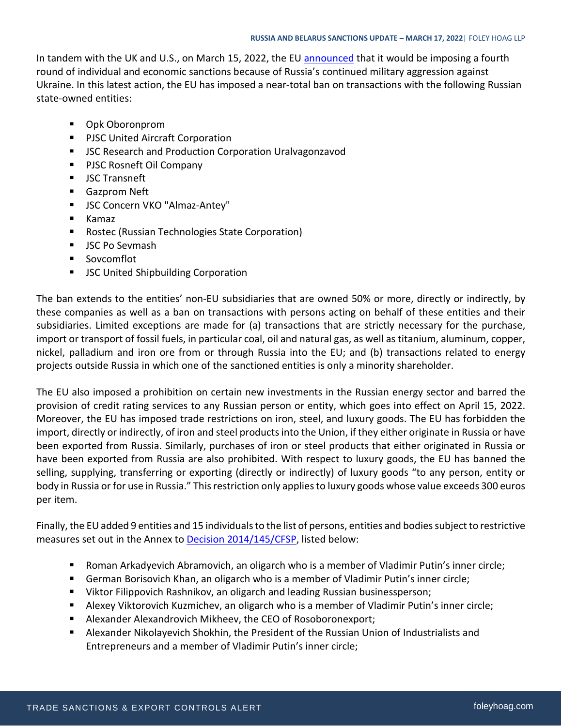In tandem with the UK and U.S., on March 15, 2022, the EU [announced](https://eur-lex.europa.eu/legal-content/EN/TXT/?uri=uriserv%3AOJ.LI.2022.087.01.0044.01.ENG&toc=OJ%3AL%3A2022%3A087I%3ATOC) that it would be imposing a fourth round of individual and economic sanctions because of Russia's continued military aggression against Ukraine. In this latest action, the EU has imposed a near-total ban on transactions with the following Russian state-owned entities:

- Opk Oboronprom
- **PJSC United Aircraft Corporation**
- **JSC Research and Production Corporation Uralvagonzavod**
- PJSC Rosneft Oil Company
- **JSC Transneft**
- Gazprom Neft
- JSC Concern VKO "Almaz-Antey"
- Kamaz
- Rostec (Russian Technologies State Corporation)
- **JSC Po Sevmash**
- Sovcomflot
- **JSC United Shipbuilding Corporation**

The ban extends to the entities' non-EU subsidiaries that are owned 50% or more, directly or indirectly, by these companies as well as a ban on transactions with persons acting on behalf of these entities and their subsidiaries. Limited exceptions are made for (a) transactions that are strictly necessary for the purchase, import or transport of fossil fuels, in particular coal, oil and natural gas, as well as titanium, aluminum, copper, nickel, palladium and iron ore from or through Russia into the EU; and (b) transactions related to energy projects outside Russia in which one of the sanctioned entities is only a minority shareholder.

The EU also imposed a prohibition on certain new investments in the Russian energy sector and barred the provision of credit rating services to any Russian person or entity, which goes into effect on April 15, 2022. Moreover, the EU has imposed trade restrictions on iron, steel, and luxury goods. The EU has forbidden the import, directly or indirectly, of iron and steel products into the Union, if they either originate in Russia or have been exported from Russia. Similarly, purchases of iron or steel products that either originated in Russia or have been exported from Russia are also prohibited. With respect to luxury goods, the EU has banned the selling, supplying, transferring or exporting (directly or indirectly) of luxury goods "to any person, entity or body in Russia or for use in Russia." This restriction only applies to luxury goods whose value exceeds 300 euros per item.

Finally, the EU added 9 entities and 15 individuals to the list of persons, entities and bodies subject to restrictive measures set out in the Annex to [Decision 2014/145/CFSP,](https://eur-lex.europa.eu/legal-content/en/TXT/?uri=CELEX:32014D0145) listed below:

- Roman Arkadyevich Abramovich, an oligarch who is a member of Vladimir Putin's inner circle;
- German Borisovich Khan, an oligarch who is a member of Vladimir Putin's inner circle;
- Viktor Filippovich Rashnikov, an oligarch and leading Russian businessperson;
- Alexey Viktorovich Kuzmichev, an oligarch who is a member of Vladimir Putin's inner circle;
- Alexander Alexandrovich Mikheev, the CEO of Rosoboronexport;
- Alexander Nikolayevich Shokhin, the President of the Russian Union of Industrialists and Entrepreneurs and a member of Vladimir Putin's inner circle;